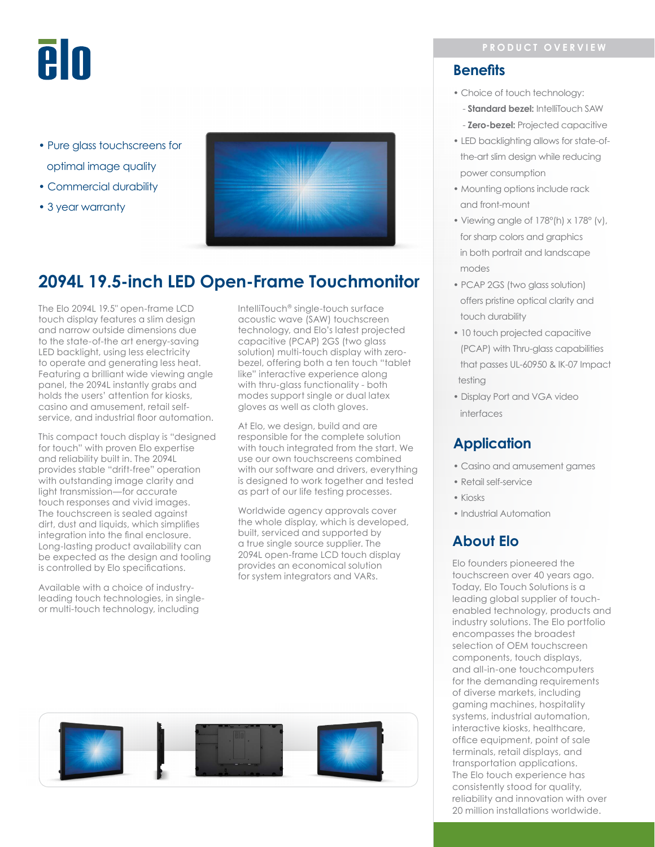# **PIU**

- Pure glass touchscreens for optimal image quality
- Commercial durability
- 3 year warranty



# **2094L 19.5-inch LED Open-Frame Touchmonitor**

The Elo 2094L 19.5" open-frame LCD touch display features a slim design and narrow outside dimensions due to the state-of-the art energy-saving LED backlight, using less electricity to operate and generating less heat. Featuring a brilliant wide viewing angle panel, the 2094L instantly grabs and holds the users' attention for kiosks, casino and amusement, retail selfservice, and industrial floor automation.

This compact touch display is "designed for touch" with proven Elo expertise and reliability built in. The 2094L provides stable "drift-free" operation with outstanding image clarity and light transmission—for accurate touch responses and vivid images. The touchscreen is sealed against dirt, dust and liquids, which simplifies integration into the final enclosure. Long-lasting product availability can be expected as the design and tooling is controlled by Elo specifications.

Available with a choice of industryleading touch technologies, in singleor multi-touch technology, including

IntelliTouch® single-touch surface acoustic wave (SAW) touchscreen technology, and Elo's latest projected capacitive (PCAP) 2GS (two glass solution) multi-touch display with zerobezel, offering both a ten touch "tablet like" interactive experience along with thru-glass functionality - both modes support single or dual latex gloves as well as cloth gloves.

At Elo, we design, build and are responsible for the complete solution with touch integrated from the start. We use our own touchscreens combined with our software and drivers, everything is designed to work together and tested as part of our life testing processes.

Worldwide agency approvals cover the whole display, which is developed, built, serviced and supported by a true single source supplier. The 2094L open-frame LCD touch display provides an economical solution for system integrators and VARs.



### **Benefits**

- Choice of touch technology:
	- **Standard bezel:** IntelliTouch SAW
	- **Zero-bezel:** Projected capacitive
- LED backlighting allows for state-of the-art slim design while reducing power consumption
- Mounting options include rack and front-mount
- Viewing angle of 178°(h) x 178° (v), for sharp colors and graphics in both portrait and landscape modes
- PCAP 2GS (two glass solution) offers pristine optical clarity and touch durability
- 10 touch projected capacitive (PCAP) with Thru-glass capabilities that passes UL-60950 & IK-07 Impact testing
- Display Port and VGA video interfaces

## **Application**

- Casino and amusement games
- Retail self-service
- Kiosks
- Industrial Automation

# **About Elo**

Elo founders pioneered the touchscreen over 40 years ago. Today, Elo Touch Solutions is a leading global supplier of touchenabled technology, products and industry solutions. The Elo portfolio encompasses the broadest selection of OEM touchscreen components, touch displays, and all-in-one touchcomputers for the demanding requirements of diverse markets, including gaming machines, hospitality systems, industrial automation, interactive kiosks, healthcare, office equipment, point of sale terminals, retail displays, and transportation applications. The Elo touch experience has consistently stood for quality, reliability and innovation with over 20 million installations worldwide.